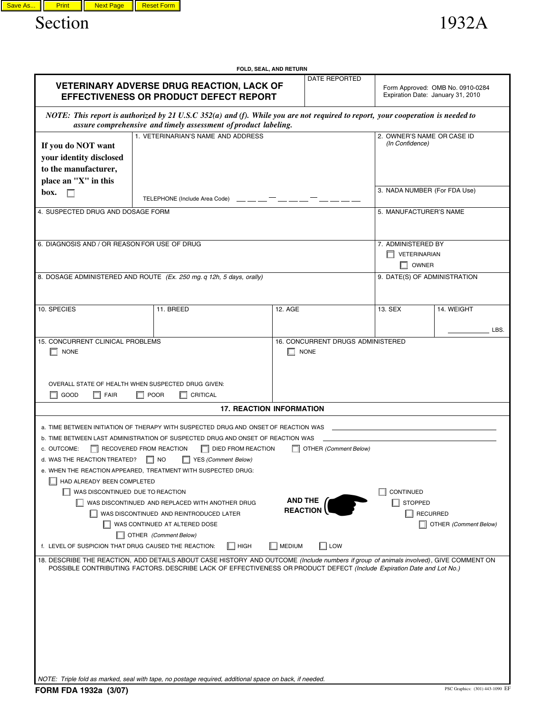

|                                                                                                                                                                                                                                                                |                               |                                                                 | FOLD, SEAL, AND RETURN          |                                                  |                                                                       |                       |      |
|----------------------------------------------------------------------------------------------------------------------------------------------------------------------------------------------------------------------------------------------------------------|-------------------------------|-----------------------------------------------------------------|---------------------------------|--------------------------------------------------|-----------------------------------------------------------------------|-----------------------|------|
|                                                                                                                                                                                                                                                                |                               |                                                                 |                                 |                                                  |                                                                       |                       |      |
| <b>VETERINARY ADVERSE DRUG REACTION, LACK OF</b><br><b>EFFECTIVENESS OR PRODUCT DEFECT REPORT</b>                                                                                                                                                              |                               |                                                                 |                                 |                                                  | Form Approved: OMB No. 0910-0284<br>Expiration Date: January 31, 2010 |                       |      |
| NOTE: This report is authorized by 21 U.S.C 352(a) and (f). While you are not required to report, your cooperation is needed to                                                                                                                                |                               | assure comprehensive and timely assessment of product labeling. |                                 |                                                  |                                                                       |                       |      |
| 1. VETERINARIAN'S NAME AND ADDRESS                                                                                                                                                                                                                             |                               |                                                                 |                                 |                                                  | 2. OWNER'S NAME OR CASE ID                                            |                       |      |
| If you do NOT want                                                                                                                                                                                                                                             |                               |                                                                 | (In Confidence)                 |                                                  |                                                                       |                       |      |
| your identity disclosed                                                                                                                                                                                                                                        |                               |                                                                 |                                 |                                                  |                                                                       |                       |      |
| to the manufacturer,                                                                                                                                                                                                                                           |                               |                                                                 |                                 |                                                  |                                                                       |                       |      |
| place an "X" in this                                                                                                                                                                                                                                           |                               |                                                                 |                                 |                                                  |                                                                       |                       |      |
| box.<br>П                                                                                                                                                                                                                                                      | TELEPHONE (Include Area Code) |                                                                 |                                 |                                                  | 3. NADA NUMBER (For FDA Use)                                          |                       |      |
| 4. SUSPECTED DRUG AND DOSAGE FORM                                                                                                                                                                                                                              |                               |                                                                 |                                 |                                                  | 5. MANUFACTURER'S NAME                                                |                       |      |
|                                                                                                                                                                                                                                                                |                               |                                                                 |                                 |                                                  |                                                                       |                       |      |
| 6. DIAGNOSIS AND / OR REASON FOR USE OF DRUG                                                                                                                                                                                                                   | 7. ADMINISTERED BY            |                                                                 |                                 |                                                  |                                                                       |                       |      |
|                                                                                                                                                                                                                                                                |                               |                                                                 |                                 |                                                  | VETERINARIAN                                                          |                       |      |
|                                                                                                                                                                                                                                                                |                               |                                                                 |                                 |                                                  | $\sqcap$ owner                                                        |                       |      |
| 8. DOSAGE ADMINISTERED AND ROUTE (Ex. 250 mg. q 12h, 5 days, orally)                                                                                                                                                                                           |                               |                                                                 |                                 |                                                  | 9. DATE(S) OF ADMINISTRATION                                          |                       |      |
|                                                                                                                                                                                                                                                                |                               |                                                                 |                                 |                                                  |                                                                       |                       |      |
| 10. SPECIES                                                                                                                                                                                                                                                    | 11. BREED                     |                                                                 | 12. AGE                         |                                                  | 13. SEX                                                               | 14. WEIGHT            |      |
|                                                                                                                                                                                                                                                                |                               |                                                                 |                                 |                                                  |                                                                       |                       |      |
|                                                                                                                                                                                                                                                                |                               |                                                                 |                                 |                                                  |                                                                       |                       | LBS. |
| 15. CONCURRENT CLINICAL PROBLEMS<br><b>NONE</b>                                                                                                                                                                                                                |                               |                                                                 |                                 | 16. CONCURRENT DRUGS ADMINISTERED<br><b>NONE</b> |                                                                       |                       |      |
| OVERALL STATE OF HEALTH WHEN SUSPECTED DRUG GIVEN:<br>$\Box$ GOOD<br><b>FAIR</b><br>$\Box$ POOR<br>CRITICAL                                                                                                                                                    |                               |                                                                 |                                 |                                                  |                                                                       |                       |      |
|                                                                                                                                                                                                                                                                |                               |                                                                 | <b>17. REACTION INFORMATION</b> |                                                  |                                                                       |                       |      |
| a. TIME BETWEEN INITIATION OF THERAPY WITH SUSPECTED DRUG AND ONSET OF REACTION WAS                                                                                                                                                                            |                               |                                                                 |                                 |                                                  |                                                                       |                       |      |
| b. TIME BETWEEN LAST ADMINISTRATION OF SUSPECTED DRUG AND ONSET OF REACTION WAS                                                                                                                                                                                |                               |                                                                 |                                 |                                                  |                                                                       |                       |      |
| <b>DIED FROM REACTION</b><br>OTHER (Comment Below)<br>c. OUTCOME:<br>RECOVERED FROM REACTION                                                                                                                                                                   |                               |                                                                 |                                 |                                                  |                                                                       |                       |      |
| d. WAS THE REACTION TREATED?                                                                                                                                                                                                                                   | <b>NO</b>                     | YES (Comment Below)                                             |                                 |                                                  |                                                                       |                       |      |
| e. WHEN THE REACTION APPEARED, TREATMENT WITH SUSPECTED DRUG:                                                                                                                                                                                                  |                               |                                                                 |                                 |                                                  |                                                                       |                       |      |
| HAD ALREADY BEEN COMPLETED                                                                                                                                                                                                                                     |                               |                                                                 |                                 |                                                  |                                                                       |                       |      |
| WAS DISCONTINUED DUE TO REACTION<br><b>AND THE</b>                                                                                                                                                                                                             |                               |                                                                 |                                 |                                                  | CONTINUED                                                             |                       |      |
| WAS DISCONTINUED AND REPLACED WITH ANOTHER DRUG<br><b>REACTION</b><br>WAS DISCONTINUED AND REINTRODUCED LATER                                                                                                                                                  |                               |                                                                 |                                 |                                                  | <b>STOPPED</b><br><b>RECURRED</b>                                     |                       |      |
| WAS CONTINUED AT ALTERED DOSE                                                                                                                                                                                                                                  |                               |                                                                 |                                 |                                                  |                                                                       | OTHER (Comment Below) |      |
| OTHER (Comment Below)                                                                                                                                                                                                                                          |                               |                                                                 |                                 |                                                  |                                                                       |                       |      |
| f. LEVEL OF SUSPICION THAT DRUG CAUSED THE REACTION:                                                                                                                                                                                                           |                               | HIGH                                                            | $\blacksquare$ MEDIUM           | $\Box$ Low                                       |                                                                       |                       |      |
| 18. DESCRIBE THE REACTION, ADD DETAILS ABOUT CASE HISTORY AND OUTCOME (Include numbers if group of animals involved), GIVE COMMENT ON<br>POSSIBLE CONTRIBUTING FACTORS. DESCRIBE LACK OF EFFECTIVENESS OR PRODUCT DEFECT (Include Expiration Date and Lot No.) |                               |                                                                 |                                 |                                                  |                                                                       |                       |      |
|                                                                                                                                                                                                                                                                |                               |                                                                 |                                 |                                                  |                                                                       |                       |      |
|                                                                                                                                                                                                                                                                |                               |                                                                 |                                 |                                                  |                                                                       |                       |      |
|                                                                                                                                                                                                                                                                |                               |                                                                 |                                 |                                                  |                                                                       |                       |      |
|                                                                                                                                                                                                                                                                |                               |                                                                 |                                 |                                                  |                                                                       |                       |      |

*NOTE: Triple fold as marked, seal with tape, no postage required, additional space on back, if needed.*